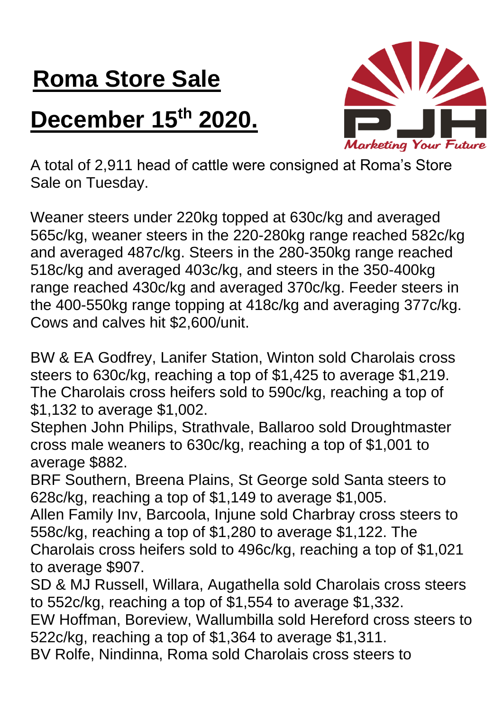## **Roma Store Sale**

## **December 15th 2020.**



A total of 2,911 head of cattle were consigned at Roma's Store Sale on Tuesday.

Weaner steers under 220kg topped at 630c/kg and averaged 565c/kg, weaner steers in the 220-280kg range reached 582c/kg and averaged 487c/kg. Steers in the 280-350kg range reached 518c/kg and averaged 403c/kg, and steers in the 350-400kg range reached 430c/kg and averaged 370c/kg. Feeder steers in the 400-550kg range topping at 418c/kg and averaging 377c/kg. Cows and calves hit \$2,600/unit.

BW & EA Godfrey, Lanifer Station, Winton sold Charolais cross steers to 630c/kg, reaching a top of \$1,425 to average \$1,219. The Charolais cross heifers sold to 590c/kg, reaching a top of \$1,132 to average \$1,002.

Stephen John Philips, Strathvale, Ballaroo sold Droughtmaster cross male weaners to 630c/kg, reaching a top of \$1,001 to average \$882.

BRF Southern, Breena Plains, St George sold Santa steers to 628c/kg, reaching a top of \$1,149 to average \$1,005.

Allen Family Inv, Barcoola, Injune sold Charbray cross steers to 558c/kg, reaching a top of \$1,280 to average \$1,122. The Charolais cross heifers sold to 496c/kg, reaching a top of \$1,021 to average \$907.

SD & MJ Russell, Willara, Augathella sold Charolais cross steers to 552c/kg, reaching a top of \$1,554 to average \$1,332.

EW Hoffman, Boreview, Wallumbilla sold Hereford cross steers to 522c/kg, reaching a top of \$1,364 to average \$1,311.

BV Rolfe, Nindinna, Roma sold Charolais cross steers to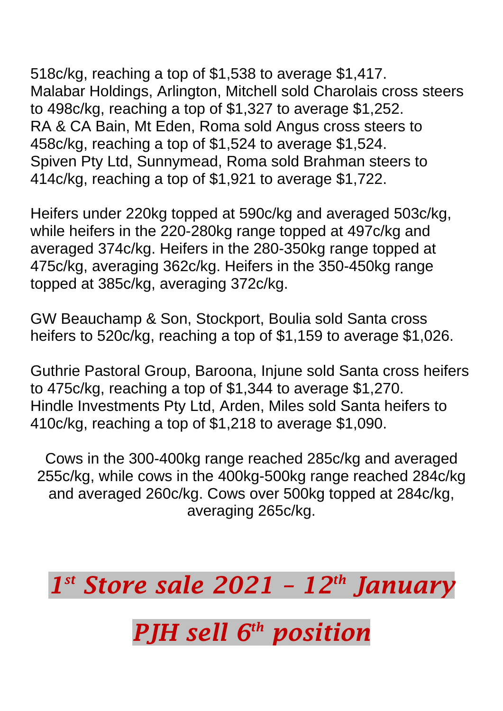518c/kg, reaching a top of \$1,538 to average \$1,417. Malabar Holdings, Arlington, Mitchell sold Charolais cross steers to 498c/kg, reaching a top of \$1,327 to average \$1,252. RA & CA Bain, Mt Eden, Roma sold Angus cross steers to 458c/kg, reaching a top of \$1,524 to average \$1,524. Spiven Pty Ltd, Sunnymead, Roma sold Brahman steers to 414c/kg, reaching a top of \$1,921 to average \$1,722.

Heifers under 220kg topped at 590c/kg and averaged 503c/kg, while heifers in the 220-280kg range topped at 497c/kg and averaged 374c/kg. Heifers in the 280-350kg range topped at 475c/kg, averaging 362c/kg. Heifers in the 350-450kg range topped at 385c/kg, averaging 372c/kg.

GW Beauchamp & Son, Stockport, Boulia sold Santa cross heifers to 520c/kg, reaching a top of \$1,159 to average \$1,026.

Guthrie Pastoral Group, Baroona, Injune sold Santa cross heifers to 475c/kg, reaching a top of \$1,344 to average \$1,270. Hindle Investments Pty Ltd, Arden, Miles sold Santa heifers to 410c/kg, reaching a top of \$1,218 to average \$1,090.

Cows in the 300-400kg range reached 285c/kg and averaged 255c/kg, while cows in the 400kg-500kg range reached 284c/kg and averaged 260c/kg. Cows over 500kg topped at 284c/kg, averaging 265c/kg.

*1 st Store sale 2021 – 12th January PJH sell 6 th position*